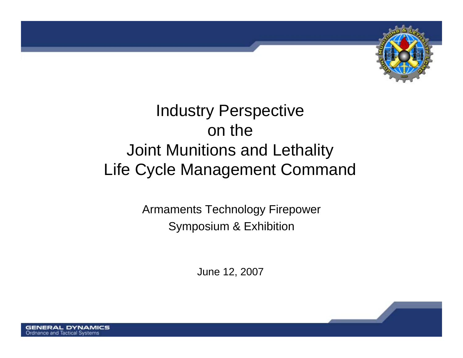

# **Industry Perspective** on the Joint Munitions and Lethality Life Cycle Management Command

Armaments Technology Firepower Symposium & Exhibition

June 12, 2007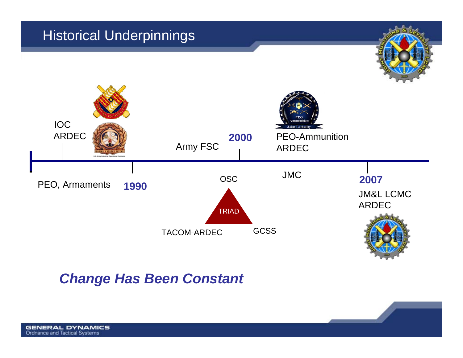#### Historical Underpinnings





#### *Change Has Been Constant*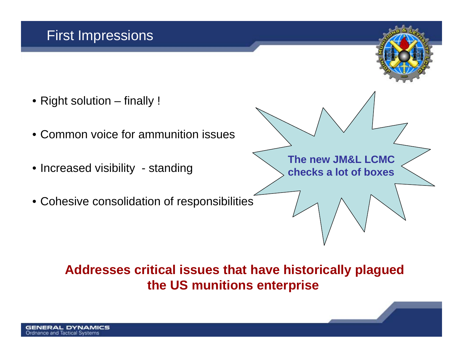### First Impressions

- Right solution finally !
- Common voice for ammunition issues
- Increased visibility standing
- Cohesive consolidation of responsibilities



#### **Addresses critical issues that have historically plagued the US munitions enterprise**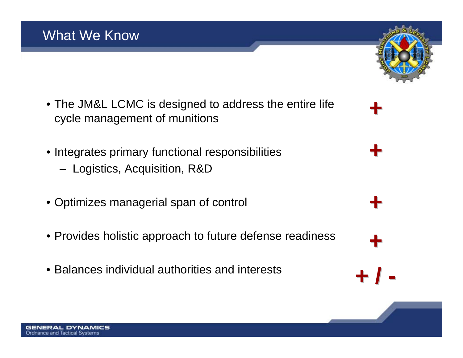- The JM&L LCMC is designed to address the entire life cycle management of munitions
- Integrates primary functional responsibilities
	- –Logistics, Acquisition, R&D
- Optimizes managerial span of control
- Provides holistic approach to future defense readiness
- Balances individual authorities and interests



**+**

**+**

**+**

**+**

**+ / -**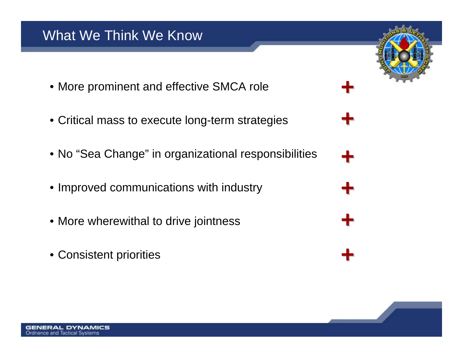- More prominent and effective SMCA role
- Critical mass to execute long-term strategies
- No "Sea Change" in organizational responsibilities
- Improved communications with industry
- More wherewithal to drive jointness
- Consistent priorities

**Ordnance and Tactical Systems** 



**+**

**+**

**+**

**+**

**+**

**+**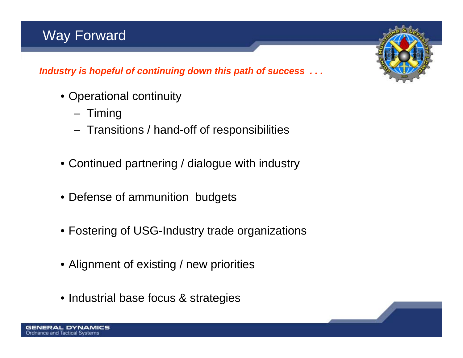### Way Forward

*Industry is hopeful of continuing down this path of success . . .* 

- Operational continuity
	- Timing
	- Transitions / hand-off of responsibilities
- Continued partnering / dialogue with industry
- Defense of ammunition budgets
- Fostering of USG-Industry trade organizations
- Alignment of existing / new priorities
- Industrial base focus & strategies

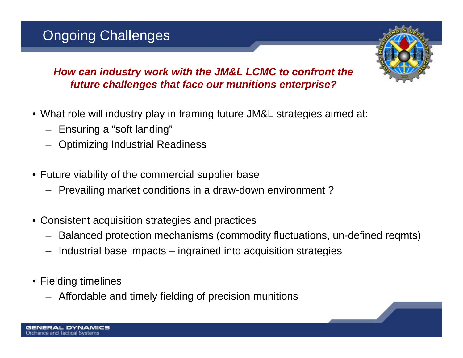## Ongoing Challenges



*How can industry work with the JM&L LCMC to confront the future challenges that face our munitions enterprise?* 

- What role will industry play in framing future JM&L strategies aimed at:
	- Ensuring a "soft landing"
	- Optimizing Industrial Readiness
- Future viability of the commercial supplier base
	- Prevailing market conditions in a draw-down environment ?
- Consistent acquisition strategies and practices
	- Balanced protection mechanisms (commodity fluctuations, un-defined reqmts)
	- Industrial base impacts ingrained into acquisition strategies
- Fielding timelines
	- Affordable and timely fielding of precision munitions